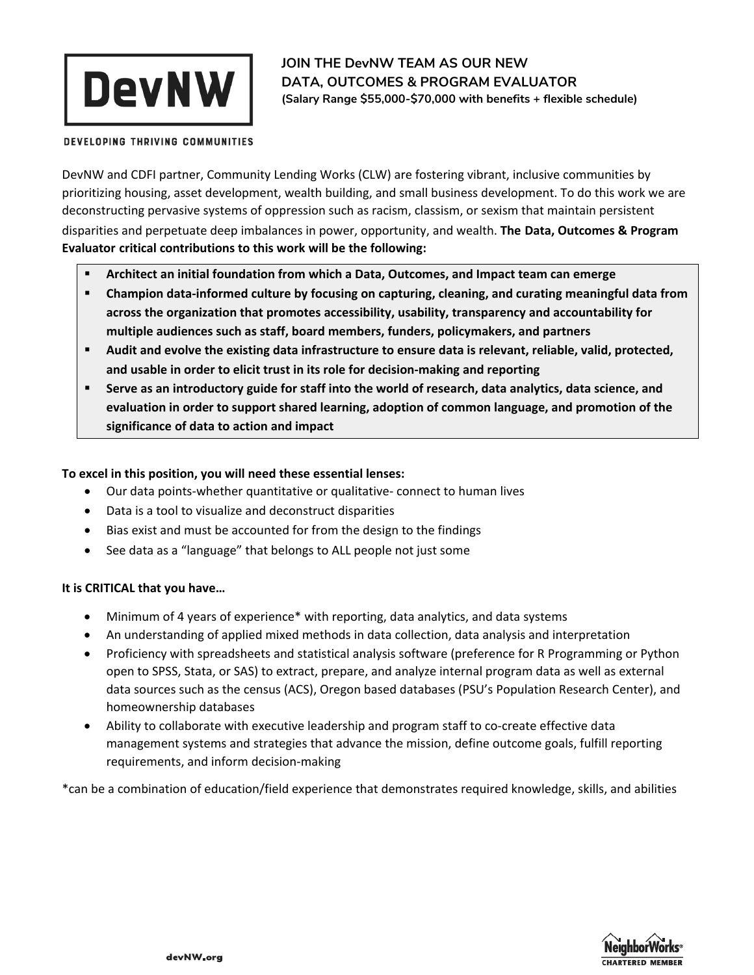

**JOIN THE DevNW TEAM AS OUR NEW DATA, OUTCOMES & PROGRAM EVALUATOR (Salary Range \$55,000-\$70,000 with benefits + flexible schedule)** 

DEVELOPING THRIVING COMMUNITIES

DevNW and CDFI partner, Community Lending Works (CLW) are fostering vibrant, inclusive communities by prioritizing housing, asset development, wealth building, and small business development. To do this work we are deconstructing pervasive systems of oppression such as racism, classism, or sexism that maintain persistent disparities and perpetuate deep imbalances in power, opportunity, and wealth. **The Data, Outcomes & Program Evaluator critical contributions to this work will be the following:**

- **Architect an initial foundation from which a Data, Outcomes, and Impact team can emerge**
- **Champion data-informed culture by focusing on capturing, cleaning, and curating meaningful data from across the organization that promotes accessibility, usability, transparency and accountability for multiple audiences such as staff, board members, funders, policymakers, and partners**
- **Audit and evolve the existing data infrastructure to ensure data is relevant, reliable, valid, protected, and usable in order to elicit trust in its role for decision-making and reporting**
- **Serve as an introductory guide for staff into the world of research, data analytics, data science, and evaluation in order to support shared learning, adoption of common language, and promotion of the significance of data to action and impact**

# **To excel in this position, you will need these essential lenses:**

- Our data points-whether quantitative or qualitative- connect to human lives
- Data is a tool to visualize and deconstruct disparities
- Bias exist and must be accounted for from the design to the findings
- See data as a "language" that belongs to ALL people not just some

## **It is CRITICAL that you have…**

- Minimum of 4 years of experience\* with reporting, data analytics, and data systems
- An understanding of applied mixed methods in data collection, data analysis and interpretation
- Proficiency with spreadsheets and statistical analysis software (preference for R Programming or Python open to SPSS, Stata, or SAS) to extract, prepare, and analyze internal program data as well as external data sources such as the census (ACS), Oregon based databases (PSU's Population Research Center), and homeownership databases
- Ability to collaborate with executive leadership and program staff to co-create effective data management systems and strategies that advance the mission, define outcome goals, fulfill reporting requirements, and inform decision-making

\*can be a combination of education/field experience that demonstrates required knowledge, skills, and abilities